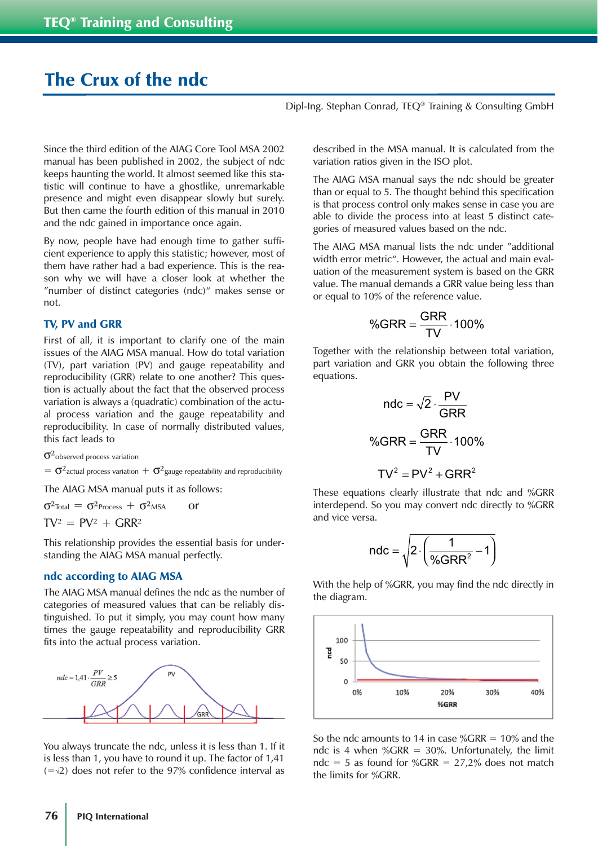# The Crux of the ndc

Dipl-Ing. Stephan Conrad, TEQ® Training & Consulting GmbH

Since the third edition of the AIAG Core Tool MSA 2002 manual has been published in 2002, the subject of ndc keeps haunting the world. It almost seemed like this statistic will continue to have a ghostlike, unremarkable presence and might even disappear slowly but surely. But then came the fourth edition of this manual in 2010 and the ndc gained in importance once again.

By now, people have had enough time to gather sufficient experience to apply this statistic; however, most of them have rather had a bad experience. This is the reason why we will have a closer look at whether the "number of distinct categories (ndc)" makes sense or not.

## TV, PV and GRR

First of all, it is important to clarify one of the main issues of the AIAG MSA manual. How do total variation (TV), part variation (PV) and gauge repeatability and reproducibility (GRR) relate to one another? This question is actually about the fact that the observed process variation is always a (quadratic) combination of the actual process variation and the gauge repeatability and reproducibility. In case of normally distributed values, this fact leads to

 $\sigma^2$ observed process variation

 $= \sigma^2$ actual process variation  $+ \sigma^2$ gauge repeatability and reproducibility

The AIAG MSA manual puts it as follows:

 $\sigma^2$ Total =  $\sigma^2$ Process +  $\sigma^2$ MSA or

 $TV^2 = PV^2 + GRR^2$ 

This relationship provides the essential basis for understanding the AIAG MSA manual perfectly.

#### ndc according to AIAG MSA

The AIAG MSA manual defines the ndc as the number of categories of measured values that can be reliably distinguished. To put it simply, you may count how many times the gauge repeatability and reproducibility GRR fits into the actual process variation.



You always truncate the ndc, unless it is less than 1. If it is less than 1, you have to round it up. The factor of 1,41 (=√2) does not refer to the 97% confidence interval as

described in the MSA manual. It is calculated from the variation ratios given in the ISO plot.

The AIAG MSA manual says the ndc should be greater than or equal to 5. The thought behind this specification is that process control only makes sense in case you are able to divide the process into at least 5 distinct categories of measured values based on the ndc.

The AIAG MSA manual lists the ndc under "additional width error metric". However, the actual and main evaluation of the measurement system is based on the GRR value. The manual demands a GRR value being less than or equal to 10% of the reference value.

$$
\%GRR = \frac{GRR}{TV} \cdot 100\%
$$

Together with the relationship between total variation, part variation and GRR you obtain the following three equations.

$$
ndc = \sqrt{2} \cdot \frac{PV}{GRR}
$$

$$
\%GRR = \frac{GRR}{TV} \cdot 100\%
$$

$$
TV^{2} = PV^{2} + GRR^{2}
$$

These equations clearly illustrate that ndc and %GRR interdepend. So you may convert ndc directly to %GRR and vice versa.

$$
ndc = \sqrt{2 \cdot \left(\frac{1}{\%GRR^2} - 1\right)}
$$

With the help of %GRR, you may find the ndc directly in the diagram.



So the ndc amounts to 14 in case  $\frac{6}{6}$  GRR = 10% and the ndc is 4 when %GRR =  $30%$ . Unfortunately, the limit ndc = 5 as found for %GRR =  $27,2\%$  does not match the limits for %GRR.